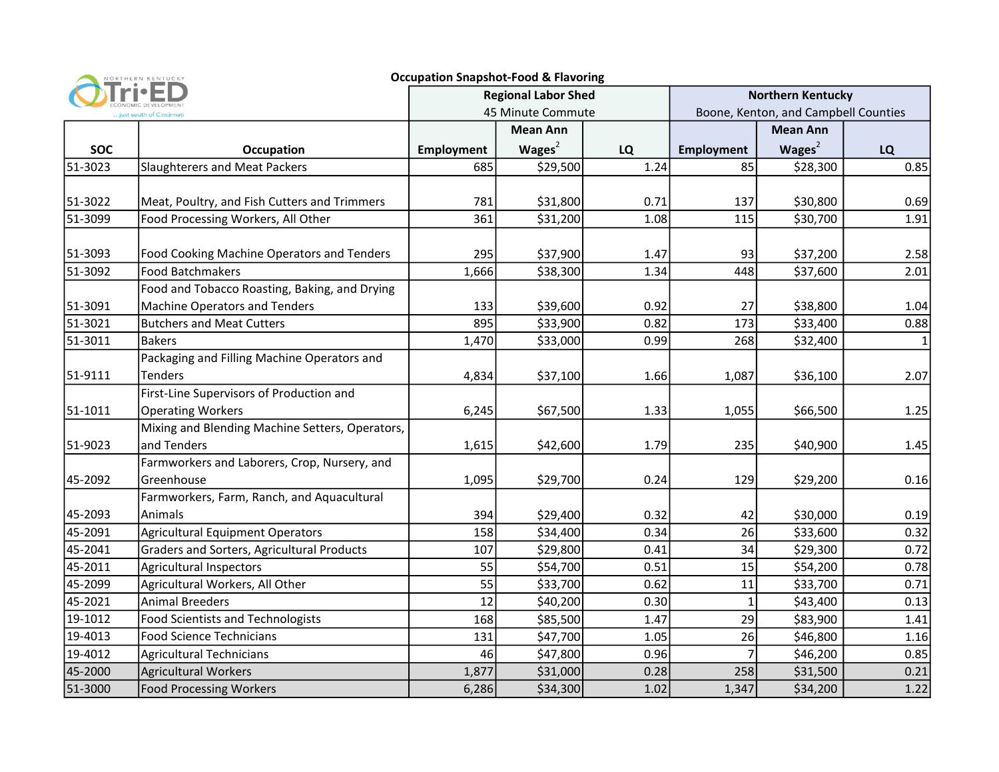| <b>Occupation Snapshot-Food &amp; Flavoring</b><br>NORTHERN KENTUCKY |                                                 |                            |                    |      |                                      |                 |      |  |  |
|----------------------------------------------------------------------|-------------------------------------------------|----------------------------|--------------------|------|--------------------------------------|-----------------|------|--|--|
| just south of Cincinnat                                              |                                                 | <b>Regional Labor Shed</b> |                    |      | <b>Northern Kentucky</b>             |                 |      |  |  |
|                                                                      |                                                 | 45 Minute Commute          |                    |      | Boone, Kenton, and Campbell Counties |                 |      |  |  |
|                                                                      |                                                 |                            | <b>Mean Ann</b>    |      |                                      | <b>Mean Ann</b> |      |  |  |
| <b>SOC</b>                                                           | Occupation                                      | <b>Employment</b>          | Wages <sup>2</sup> | LQ   | <b>Employment</b>                    | Wages $2$       | LQ   |  |  |
| 51-3023                                                              | Slaughterers and Meat Packers                   | 685                        | \$29,500           | 1.24 | 85                                   | \$28,300        | 0.85 |  |  |
|                                                                      |                                                 |                            |                    |      |                                      |                 |      |  |  |
| 51-3022                                                              | Meat, Poultry, and Fish Cutters and Trimmers    | 781                        | \$31,800           | 0.71 | 137                                  | \$30,800        | 0.69 |  |  |
| 51-3099                                                              | Food Processing Workers, All Other              | 361                        | \$31,200           | 1.08 | 115                                  | \$30,700        | 1.91 |  |  |
|                                                                      |                                                 |                            |                    |      |                                      |                 |      |  |  |
| 51-3093                                                              | Food Cooking Machine Operators and Tenders      | 295                        | \$37,900           | 1.47 | 93                                   | \$37,200        | 2.58 |  |  |
| 51-3092                                                              | <b>Food Batchmakers</b>                         | 1,666                      | \$38,300           | 1.34 | 448                                  | \$37,600        | 2.01 |  |  |
|                                                                      | Food and Tobacco Roasting, Baking, and Drying   |                            |                    |      |                                      |                 |      |  |  |
| 51-3091                                                              | <b>Machine Operators and Tenders</b>            | 133                        | \$39,600           | 0.92 | 27                                   | \$38,800        | 1.04 |  |  |
| 51-3021                                                              | <b>Butchers and Meat Cutters</b>                | 895                        | \$33,900           | 0.82 | 173                                  | \$33,400        | 0.88 |  |  |
| 51-3011                                                              | <b>Bakers</b>                                   | 1,470                      | \$33,000           | 0.99 | 268                                  | \$32,400        |      |  |  |
|                                                                      | Packaging and Filling Machine Operators and     |                            |                    |      |                                      |                 |      |  |  |
| 51-9111                                                              | <b>Tenders</b>                                  | 4,834                      | \$37,100           | 1.66 | 1,087                                | \$36,100        | 2.07 |  |  |
|                                                                      | First-Line Supervisors of Production and        |                            |                    |      |                                      |                 |      |  |  |
| 51-1011                                                              | <b>Operating Workers</b>                        | 6,245                      | \$67,500           | 1.33 | 1,055                                | \$66,500        | 1.25 |  |  |
|                                                                      | Mixing and Blending Machine Setters, Operators, |                            |                    |      |                                      |                 |      |  |  |
| 51-9023                                                              | and Tenders                                     | 1,615                      | \$42,600           | 1.79 | 235                                  | \$40,900        | 1.45 |  |  |
|                                                                      | Farmworkers and Laborers, Crop, Nursery, and    |                            |                    |      |                                      |                 |      |  |  |
| 45-2092                                                              | Greenhouse                                      | 1,095                      | \$29,700           | 0.24 | 129                                  | \$29,200        | 0.16 |  |  |
|                                                                      | Farmworkers, Farm, Ranch, and Aquacultural      |                            |                    |      |                                      |                 |      |  |  |
| 45-2093                                                              | Animals                                         | 394                        | \$29,400           | 0.32 | 42                                   | \$30,000        | 0.19 |  |  |
| 45-2091                                                              | <b>Agricultural Equipment Operators</b>         | 158                        | \$34,400           | 0.34 | 26                                   | \$33,600        | 0.32 |  |  |
| 45-2041                                                              | Graders and Sorters, Agricultural Products      | 107                        | \$29,800           | 0.41 | 34                                   | \$29,300        | 0.72 |  |  |
| 45-2011                                                              | <b>Agricultural Inspectors</b>                  | 55                         | \$54,700           | 0.51 | 15                                   | \$54,200        | 0.78 |  |  |
| 45-2099                                                              | Agricultural Workers, All Other                 | 55                         | \$33,700           | 0.62 | 11                                   | \$33,700        | 0.71 |  |  |
| 45-2021                                                              | <b>Animal Breeders</b>                          | 12                         | \$40,200           | 0.30 | $\mathbf{1}$                         | \$43,400        | 0.13 |  |  |
| 19-1012                                                              | <b>Food Scientists and Technologists</b>        | 168                        | \$85,500           | 1.47 | 29                                   | \$83,900        | 1.41 |  |  |
| 19-4013                                                              | <b>Food Science Technicians</b>                 | 131                        | \$47,700           | 1.05 | 26                                   | \$46,800        | 1.16 |  |  |
| 19-4012                                                              | <b>Agricultural Technicians</b>                 | 46                         | \$47,800           | 0.96 |                                      | \$46,200        | 0.85 |  |  |
| 45-2000                                                              | Agricultural Workers                            | 1,877                      | \$31,000           | 0.28 | 258                                  | \$31,500        | 0.21 |  |  |
| 51-3000                                                              | <b>Food Processing Workers</b>                  | 6,286                      | \$34,300           | 1.02 | 1,347                                | \$34,200        | 1.22 |  |  |